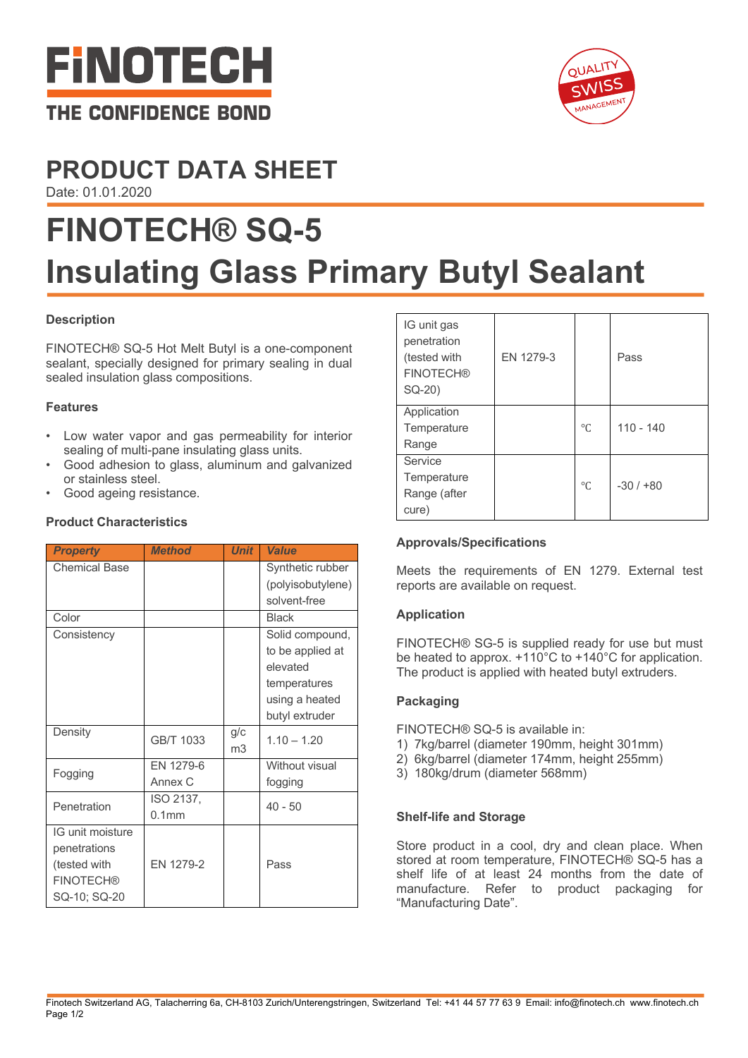



# **PRODUCT DATA SHEET**

Date: 01.01.2020

# **FINOTECH® SQ-5 Insulating Glass Primary Butyl Sealant**

# **Description**

FINOTECH® SQ-5 Hot Melt Butyl is a one-component sealant, specially designed for primary sealing in dual sealed insulation glass compositions.

# **Features**

- Low water vapor and gas permeability for interior sealing of multi-pane insulating glass units.
- Good adhesion to glass, aluminum and galvanized or stainless steel.
- Good ageing resistance.

# **Product Characteristics**

| <b>Property</b>      | <b>Method</b>     | <b>Unit</b> | <b>Value</b>      |
|----------------------|-------------------|-------------|-------------------|
| <b>Chemical Base</b> |                   |             | Synthetic rubber  |
|                      |                   |             | (polyisobutylene) |
|                      |                   |             | solvent-free      |
| Color                |                   |             | <b>Black</b>      |
| Consistency          |                   |             | Solid compound,   |
|                      |                   |             | to be applied at  |
|                      |                   |             | elevated          |
|                      |                   |             | temperatures      |
|                      |                   |             | using a heated    |
|                      |                   |             | butyl extruder    |
| Density              | GB/T 1033         | g/c         | $1.10 - 1.20$     |
|                      |                   | m3          |                   |
| Fogging              | EN 1279-6         |             | Without visual    |
|                      | Annex C           |             | fogging           |
| Penetration          | ISO 2137,         |             | $40 - 50$         |
|                      | 0.1 <sub>mm</sub> |             |                   |
| IG unit moisture     |                   |             |                   |
| penetrations         |                   |             |                   |
| (tested with         | EN 1279-2         |             | Pass              |
| <b>FINOTECH®</b>     |                   |             |                   |
| SQ-10; SQ-20         |                   |             |                   |

| IG unit gas<br>penetration<br>(tested with<br><b>FINOTECH®</b><br>SQ-20) | EN 1279-3 |           | Pass        |
|--------------------------------------------------------------------------|-----------|-----------|-------------|
| Application<br>Temperature<br>Range                                      |           | $\circ$ C | $110 - 140$ |
| Service<br>Temperature<br>Range (after<br>cure)                          |           | $\circ$ C | $-30/1+80$  |

# **Approvals/Specifications**

Meets the requirements of EN 1279. External test reports are available on request.

#### **Application**

FINOTECH® SG-5 is supplied ready for use but must be heated to approx. +110°C to +140°C for application. The product is applied with heated butyl extruders.

#### **Packaging**

FINOTECH® SQ-5 is available in:

- 1) 7kg/barrel (diameter 190mm, height 301mm)
- 2) 6kg/barrel (diameter 174mm, height 255mm)
- 3) 180kg/drum (diameter 568mm)

#### **Shelf-life and Storage**

Store product in a cool, dry and clean place. When stored at room temperature, FINOTECH® SQ-5 has a shelf life of at least 24 months from the date of manufacture. Refer to product packaging for "Manufacturing Date".